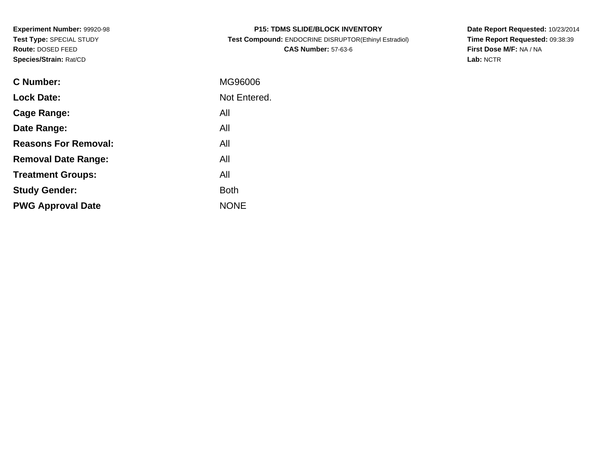**Experiment Number:** 99920-98**Test Type:** SPECIAL STUDY**Route:** DOSED FEED**Species/Strain:** Rat/CD

| <b>P15: TDMS SLIDE/BLOCK INVENTORY</b>                |
|-------------------------------------------------------|
| Test Compound: ENDOCRINE DISRUPTOR(Ethinyl Estradiol) |
| <b>CAS Number: 57-63-6</b>                            |

**Date Report Requested:** 10/23/2014 **Time Report Requested:** 09:38:39**First Dose M/F:** NA / NA**Lab:** NCTR

| C Number:                   | MG96006      |
|-----------------------------|--------------|
| <b>Lock Date:</b>           | Not Entered. |
| Cage Range:                 | All          |
| Date Range:                 | All          |
| <b>Reasons For Removal:</b> | All          |
| <b>Removal Date Range:</b>  | All          |
| <b>Treatment Groups:</b>    | All          |
| <b>Study Gender:</b>        | <b>Both</b>  |
| <b>PWG Approval Date</b>    | <b>NONE</b>  |
|                             |              |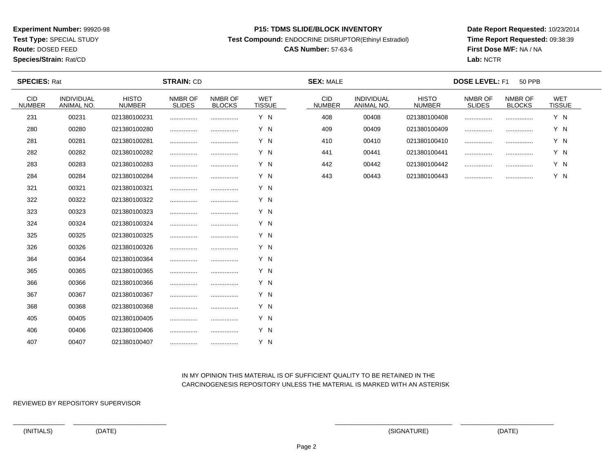**Test Type:** SPECIAL STUDY

**Route:** DOSED FEED

**Species/Strain:** Rat/CD

#### **P15: TDMS SLIDE/BLOCK INVENTORY**

**Test Compound:** ENDOCRINE DISRUPTOR(Ethinyl Estradiol)

## **CAS Number:** 57-63-6

**Date Report Requested:** 10/23/2014**Time Report Requested:** 09:38:39**First Dose M/F:** NA / NA**Lab:** NCTR

| <b>SPECIES: Rat</b>         |                                 | <b>STRAIN: CD</b>             |                          |                          |                             | <b>SEX: MALE</b>            | <b>DOSE LEVEL: F1</b><br><b>50 PPB</b> |                               |                          |                          |                             |
|-----------------------------|---------------------------------|-------------------------------|--------------------------|--------------------------|-----------------------------|-----------------------------|----------------------------------------|-------------------------------|--------------------------|--------------------------|-----------------------------|
| <b>CID</b><br><b>NUMBER</b> | <b>INDIVIDUAL</b><br>ANIMAL NO. | <b>HISTO</b><br><b>NUMBER</b> | NMBR OF<br><b>SLIDES</b> | NMBR OF<br><b>BLOCKS</b> | <b>WET</b><br><b>TISSUE</b> | <b>CID</b><br><b>NUMBER</b> | <b>INDIVIDUAL</b><br>ANIMAL NO.        | <b>HISTO</b><br><b>NUMBER</b> | NMBR OF<br><b>SLIDES</b> | NMBR OF<br><b>BLOCKS</b> | <b>WET</b><br><b>TISSUE</b> |
| 231                         | 00231                           | 021380100231                  |                          |                          | Y N                         | 408                         | 00408                                  | 021380100408                  |                          |                          | Y N                         |
| 280                         | 00280                           | 021380100280                  |                          |                          | Y N                         | 409                         | 00409                                  | 021380100409                  |                          |                          | Y N                         |
| 281                         | 00281                           | 021380100281                  |                          |                          | Y N                         | 410                         | 00410                                  | 021380100410                  |                          |                          | Y N                         |
| 282                         | 00282                           | 021380100282                  |                          |                          | Y N                         | 441                         | 00441                                  | 021380100441                  |                          | .                        | Y N                         |
| 283                         | 00283                           | 021380100283                  |                          |                          | Y N                         | 442                         | 00442                                  | 021380100442                  |                          |                          | Y N                         |
| 284                         | 00284                           | 021380100284                  |                          |                          | Y N                         | 443                         | 00443                                  | 021380100443                  |                          |                          | Y N                         |
| 321                         | 00321                           | 021380100321                  |                          |                          | Y N                         |                             |                                        |                               |                          |                          |                             |
| 322                         | 00322                           | 021380100322                  |                          |                          | Y N                         |                             |                                        |                               |                          |                          |                             |
| 323                         | 00323                           | 021380100323                  |                          |                          | Y N                         |                             |                                        |                               |                          |                          |                             |
| 324                         | 00324                           | 021380100324                  |                          |                          | Y N                         |                             |                                        |                               |                          |                          |                             |
| 325                         | 00325                           | 021380100325                  |                          |                          | Y N                         |                             |                                        |                               |                          |                          |                             |
| 326                         | 00326                           | 021380100326                  |                          |                          | Y N                         |                             |                                        |                               |                          |                          |                             |
| 364                         | 00364                           | 021380100364                  |                          |                          | Y N                         |                             |                                        |                               |                          |                          |                             |
| 365                         | 00365                           | 021380100365                  |                          |                          | Y N                         |                             |                                        |                               |                          |                          |                             |
| 366                         | 00366                           | 021380100366                  |                          |                          | Y N                         |                             |                                        |                               |                          |                          |                             |
| 367                         | 00367                           | 021380100367                  |                          |                          | Y N                         |                             |                                        |                               |                          |                          |                             |
| 368                         | 00368                           | 021380100368                  |                          |                          | Y N                         |                             |                                        |                               |                          |                          |                             |
| 405                         | 00405                           | 021380100405                  |                          |                          | Y N                         |                             |                                        |                               |                          |                          |                             |
| 406                         | 00406                           | 021380100406                  |                          |                          | Y N                         |                             |                                        |                               |                          |                          |                             |
| 407                         | 00407                           | 021380100407                  |                          |                          | Y N                         |                             |                                        |                               |                          |                          |                             |

### IN MY OPINION THIS MATERIAL IS OF SUFFICIENT QUALITY TO BE RETAINED IN THECARCINOGENESIS REPOSITORY UNLESS THE MATERIAL IS MARKED WITH AN ASTERISK

REVIEWED BY REPOSITORY SUPERVISOR

(INITIALS) (DATE) (SIGNATURE) (DATE)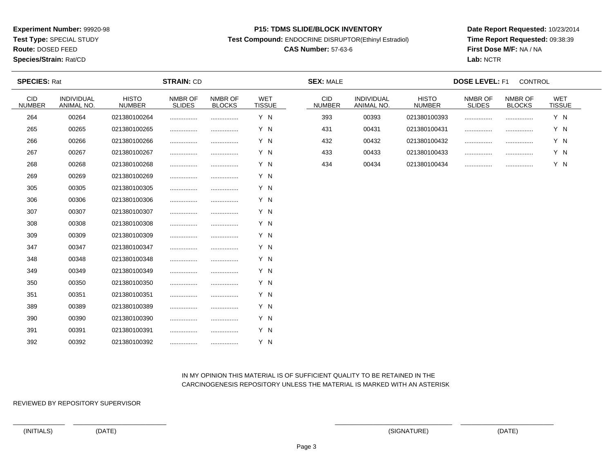**Test Type:** SPECIAL STUDY

**Route:** DOSED FEED

**Species/Strain:** Rat/CD

#### **P15: TDMS SLIDE/BLOCK INVENTORY**

**Test Compound:** ENDOCRINE DISRUPTOR(Ethinyl Estradiol)

## **CAS Number:** 57-63-6

**Date Report Requested:** 10/23/2014**Time Report Requested:** 09:38:39**First Dose M/F:** NA / NA**Lab:** NCTR

| <b>SPECIES: Rat</b>  |                          |                               | <b>STRAIN: CD</b>        |                          |                             | <b>SEX: MALE</b>            |                          |                               | <b>DOSE LEVEL: F1</b>    | CONTROL                  |                             |  |
|----------------------|--------------------------|-------------------------------|--------------------------|--------------------------|-----------------------------|-----------------------------|--------------------------|-------------------------------|--------------------------|--------------------------|-----------------------------|--|
| CID<br><b>NUMBER</b> | INDIVIDUAL<br>ANIMAL NO. | <b>HISTO</b><br><b>NUMBER</b> | NMBR OF<br><b>SLIDES</b> | NMBR OF<br><b>BLOCKS</b> | <b>WET</b><br><b>TISSUE</b> | <b>CID</b><br><b>NUMBER</b> | INDIVIDUAL<br>ANIMAL NO. | <b>HISTO</b><br><b>NUMBER</b> | NMBR OF<br><b>SLIDES</b> | NMBR OF<br><b>BLOCKS</b> | <b>WET</b><br><b>TISSUE</b> |  |
| 264                  | 00264                    | 021380100264                  |                          |                          | Y N                         | 393                         | 00393                    | 021380100393                  |                          |                          | Y N                         |  |
| 265                  | 00265                    | 021380100265                  |                          |                          | Y N                         | 431                         | 00431                    | 021380100431                  | .                        |                          | Y N                         |  |
| 266                  | 00266                    | 021380100266                  |                          |                          | Y N                         | 432                         | 00432                    | 021380100432                  |                          |                          | Y N                         |  |
| 267                  | 00267                    | 021380100267                  |                          |                          | Y N                         | 433                         | 00433                    | 021380100433                  |                          |                          | Y N                         |  |
| 268                  | 00268                    | 021380100268                  |                          |                          | Y N                         | 434                         | 00434                    | 021380100434                  |                          |                          | Y N                         |  |
| 269                  | 00269                    | 021380100269                  |                          |                          | Y N                         |                             |                          |                               |                          |                          |                             |  |
| 305                  | 00305                    | 021380100305                  |                          |                          | Y N                         |                             |                          |                               |                          |                          |                             |  |
| 306                  | 00306                    | 021380100306                  |                          |                          | Y N                         |                             |                          |                               |                          |                          |                             |  |
| 307                  | 00307                    | 021380100307                  |                          |                          | Y N                         |                             |                          |                               |                          |                          |                             |  |
| 308                  | 00308                    | 021380100308                  |                          |                          | Y N                         |                             |                          |                               |                          |                          |                             |  |
| 309                  | 00309                    | 021380100309                  |                          |                          | Y N                         |                             |                          |                               |                          |                          |                             |  |
| 347                  | 00347                    | 021380100347                  |                          |                          | Y N                         |                             |                          |                               |                          |                          |                             |  |
| 348                  | 00348                    | 021380100348                  |                          |                          | Y N                         |                             |                          |                               |                          |                          |                             |  |
| 349                  | 00349                    | 021380100349                  |                          |                          | Y N                         |                             |                          |                               |                          |                          |                             |  |
| 350                  | 00350                    | 021380100350                  |                          |                          | Y N                         |                             |                          |                               |                          |                          |                             |  |
| 351                  | 00351                    | 021380100351                  |                          |                          | Y N                         |                             |                          |                               |                          |                          |                             |  |
| 389                  | 00389                    | 021380100389                  |                          |                          | Y N                         |                             |                          |                               |                          |                          |                             |  |
| 390                  | 00390                    | 021380100390                  |                          |                          | Y N                         |                             |                          |                               |                          |                          |                             |  |
| 391                  | 00391                    | 021380100391                  |                          |                          | Y N                         |                             |                          |                               |                          |                          |                             |  |
| 392                  | 00392                    | 021380100392                  |                          |                          | Y N                         |                             |                          |                               |                          |                          |                             |  |

### IN MY OPINION THIS MATERIAL IS OF SUFFICIENT QUALITY TO BE RETAINED IN THECARCINOGENESIS REPOSITORY UNLESS THE MATERIAL IS MARKED WITH AN ASTERISK

REVIEWED BY REPOSITORY SUPERVISOR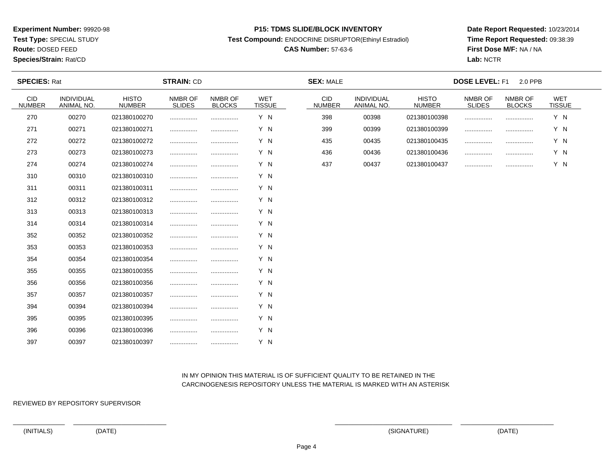**Test Type:** SPECIAL STUDY

**Route:** DOSED FEED

#### **Species/Strain:** Rat/CD

#### **P15: TDMS SLIDE/BLOCK INVENTORY**

**Test Compound:** ENDOCRINE DISRUPTOR(Ethinyl Estradiol)

## **CAS Number:** 57-63-6

**Date Report Requested:** 10/23/2014**Time Report Requested:** 09:38:39**First Dose M/F:** NA / NA**Lab:** NCTR

| <b>SPECIES: Rat</b>         |                          |                               | <b>STRAIN: CD</b>        |                          |                             | <b>SEX: MALE</b>            |                                 |                               | <b>DOSE LEVEL: F1</b>    | 2.0 PPB                  |                             |  |
|-----------------------------|--------------------------|-------------------------------|--------------------------|--------------------------|-----------------------------|-----------------------------|---------------------------------|-------------------------------|--------------------------|--------------------------|-----------------------------|--|
| <b>CID</b><br><b>NUMBER</b> | INDIVIDUAL<br>ANIMAL NO. | <b>HISTO</b><br><b>NUMBER</b> | NMBR OF<br><b>SLIDES</b> | NMBR OF<br><b>BLOCKS</b> | <b>WET</b><br><b>TISSUE</b> | <b>CID</b><br><b>NUMBER</b> | <b>INDIVIDUAL</b><br>ANIMAL NO. | <b>HISTO</b><br><b>NUMBER</b> | NMBR OF<br><b>SLIDES</b> | NMBR OF<br><b>BLOCKS</b> | <b>WET</b><br><b>TISSUE</b> |  |
| 270                         | 00270                    | 021380100270                  |                          |                          | Y N                         | 398                         | 00398                           | 021380100398                  | .                        |                          | Y N                         |  |
| 271                         | 00271                    | 021380100271                  |                          |                          | Y N                         | 399                         | 00399                           | 021380100399                  |                          |                          | Y N                         |  |
| 272                         | 00272                    | 021380100272                  |                          |                          | Y N                         | 435                         | 00435                           | 021380100435                  |                          |                          | Y N                         |  |
| 273                         | 00273                    | 021380100273                  |                          |                          | Y N                         | 436                         | 00436                           | 021380100436                  |                          |                          | Y N                         |  |
| 274                         | 00274                    | 021380100274                  |                          |                          | Y N                         | 437                         | 00437                           | 021380100437                  |                          |                          | Y N                         |  |
| 310                         | 00310                    | 021380100310                  |                          |                          | Y N                         |                             |                                 |                               |                          |                          |                             |  |
| 311                         | 00311                    | 021380100311                  |                          |                          | Y N                         |                             |                                 |                               |                          |                          |                             |  |
| 312                         | 00312                    | 021380100312                  |                          |                          | Y N                         |                             |                                 |                               |                          |                          |                             |  |
| 313                         | 00313                    | 021380100313                  |                          |                          | Y N                         |                             |                                 |                               |                          |                          |                             |  |
| 314                         | 00314                    | 021380100314                  |                          |                          | Y N                         |                             |                                 |                               |                          |                          |                             |  |
| 352                         | 00352                    | 021380100352                  |                          |                          | Y N                         |                             |                                 |                               |                          |                          |                             |  |
| 353                         | 00353                    | 021380100353                  |                          |                          | Y N                         |                             |                                 |                               |                          |                          |                             |  |
| 354                         | 00354                    | 021380100354                  |                          |                          | Y N                         |                             |                                 |                               |                          |                          |                             |  |
| 355                         | 00355                    | 021380100355                  |                          |                          | Y N                         |                             |                                 |                               |                          |                          |                             |  |
| 356                         | 00356                    | 021380100356                  |                          |                          | Y N                         |                             |                                 |                               |                          |                          |                             |  |
| 357                         | 00357                    | 021380100357                  |                          |                          | Y N                         |                             |                                 |                               |                          |                          |                             |  |
| 394                         | 00394                    | 021380100394                  |                          |                          | Y N                         |                             |                                 |                               |                          |                          |                             |  |
| 395                         | 00395                    | 021380100395                  |                          |                          | Y N                         |                             |                                 |                               |                          |                          |                             |  |
| 396                         | 00396                    | 021380100396                  |                          |                          | Y N                         |                             |                                 |                               |                          |                          |                             |  |
| 397                         | 00397                    | 021380100397                  |                          |                          | Y N                         |                             |                                 |                               |                          |                          |                             |  |

### IN MY OPINION THIS MATERIAL IS OF SUFFICIENT QUALITY TO BE RETAINED IN THECARCINOGENESIS REPOSITORY UNLESS THE MATERIAL IS MARKED WITH AN ASTERISK

REVIEWED BY REPOSITORY SUPERVISOR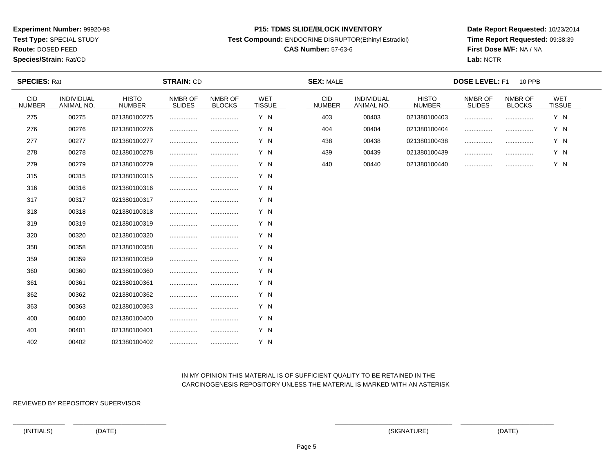**Test Type:** SPECIAL STUDY

# **Route:** DOSED FEED

**Species/Strain:** Rat/CD

#### **P15: TDMS SLIDE/BLOCK INVENTORY**

**Test Compound:** ENDOCRINE DISRUPTOR(Ethinyl Estradiol)

## **CAS Number:** 57-63-6

**Date Report Requested:** 10/23/2014**Time Report Requested:** 09:38:39**First Dose M/F:** NA / NA**Lab:** NCTR

| <b>SPECIES: Rat</b>         |                          | <b>STRAIN: CD</b>             |                          |                          |                             | <b>SEX: MALE</b>            |                          | <b>DOSE LEVEL: F1</b><br><b>10 PPB</b> |                          |                          |                      |  |
|-----------------------------|--------------------------|-------------------------------|--------------------------|--------------------------|-----------------------------|-----------------------------|--------------------------|----------------------------------------|--------------------------|--------------------------|----------------------|--|
| <b>CID</b><br><b>NUMBER</b> | INDIVIDUAL<br>ANIMAL NO. | <b>HISTO</b><br><b>NUMBER</b> | NMBR OF<br><b>SLIDES</b> | NMBR OF<br><b>BLOCKS</b> | <b>WET</b><br><b>TISSUE</b> | <b>CID</b><br><b>NUMBER</b> | INDIVIDUAL<br>ANIMAL NO. | <b>HISTO</b><br><b>NUMBER</b>          | NMBR OF<br><b>SLIDES</b> | NMBR OF<br><b>BLOCKS</b> | WET<br><b>TISSUE</b> |  |
| 275                         | 00275                    | 021380100275                  |                          |                          | Y N                         | 403                         | 00403                    | 021380100403                           |                          |                          | Y N                  |  |
| 276                         | 00276                    | 021380100276                  |                          |                          | Y N                         | 404                         | 00404                    | 021380100404                           |                          |                          | Y N                  |  |
| 277                         | 00277                    | 021380100277                  |                          |                          | Y N                         | 438                         | 00438                    | 021380100438                           |                          |                          | Y N                  |  |
| 278                         | 00278                    | 021380100278                  | .                        |                          | Y N                         | 439                         | 00439                    | 021380100439                           |                          |                          | Y N                  |  |
| 279                         | 00279                    | 021380100279                  |                          |                          | Y N                         | 440                         | 00440                    | 021380100440                           |                          |                          | Y N                  |  |
| 315                         | 00315                    | 021380100315                  |                          |                          | Y N                         |                             |                          |                                        |                          |                          |                      |  |
| 316                         | 00316                    | 021380100316                  |                          |                          | Y N                         |                             |                          |                                        |                          |                          |                      |  |
| 317                         | 00317                    | 021380100317                  |                          |                          | Y N                         |                             |                          |                                        |                          |                          |                      |  |
| 318                         | 00318                    | 021380100318                  |                          |                          | Y N                         |                             |                          |                                        |                          |                          |                      |  |
| 319                         | 00319                    | 021380100319                  |                          |                          | Y N                         |                             |                          |                                        |                          |                          |                      |  |
| 320                         | 00320                    | 021380100320                  |                          |                          | Y N                         |                             |                          |                                        |                          |                          |                      |  |
| 358                         | 00358                    | 021380100358                  |                          |                          | Y N                         |                             |                          |                                        |                          |                          |                      |  |
| 359                         | 00359                    | 021380100359                  |                          |                          | Y N                         |                             |                          |                                        |                          |                          |                      |  |
| 360                         | 00360                    | 021380100360                  |                          |                          | Y N                         |                             |                          |                                        |                          |                          |                      |  |
| 361                         | 00361                    | 021380100361                  |                          |                          | Y N                         |                             |                          |                                        |                          |                          |                      |  |
| 362                         | 00362                    | 021380100362                  |                          |                          | Y N                         |                             |                          |                                        |                          |                          |                      |  |
| 363                         | 00363                    | 021380100363                  |                          |                          | Y N                         |                             |                          |                                        |                          |                          |                      |  |
| 400                         | 00400                    | 021380100400                  |                          |                          | Y N                         |                             |                          |                                        |                          |                          |                      |  |
| 401                         | 00401                    | 021380100401                  |                          |                          | Y N                         |                             |                          |                                        |                          |                          |                      |  |
| 402                         | 00402                    | 021380100402                  |                          | .                        | Y N                         |                             |                          |                                        |                          |                          |                      |  |

### IN MY OPINION THIS MATERIAL IS OF SUFFICIENT QUALITY TO BE RETAINED IN THECARCINOGENESIS REPOSITORY UNLESS THE MATERIAL IS MARKED WITH AN ASTERISK

REVIEWED BY REPOSITORY SUPERVISOR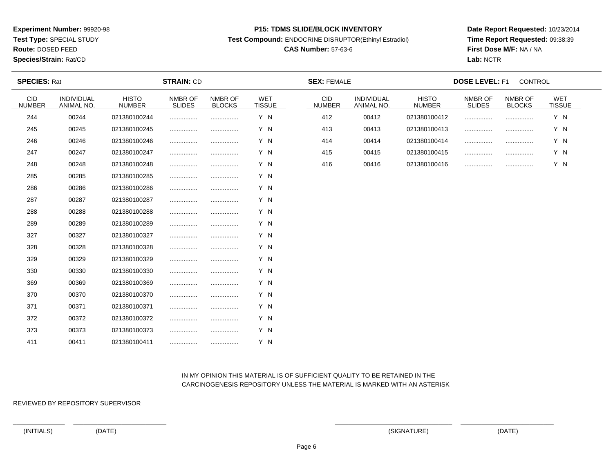**Test Type:** SPECIAL STUDY

**Route:** DOSED FEED

#### **Species/Strain:** Rat/CD

#### **P15: TDMS SLIDE/BLOCK INVENTORY**

**Test Compound:** ENDOCRINE DISRUPTOR(Ethinyl Estradiol)

## **CAS Number:** 57-63-6

**Date Report Requested:** 10/23/2014**Time Report Requested:** 09:38:39**First Dose M/F:** NA / NA**Lab:** NCTR

| <b>SPECIES: Rat</b>         |                                 |                               | <b>STRAIN: CD</b>        |                          |                             | <b>SEX: FEMALE</b>          |                                 |                               | <b>DOSE LEVEL: F1</b>    | CONTROL                  |                             |  |
|-----------------------------|---------------------------------|-------------------------------|--------------------------|--------------------------|-----------------------------|-----------------------------|---------------------------------|-------------------------------|--------------------------|--------------------------|-----------------------------|--|
| <b>CID</b><br><b>NUMBER</b> | <b>INDIVIDUAL</b><br>ANIMAL NO. | <b>HISTO</b><br><b>NUMBER</b> | NMBR OF<br><b>SLIDES</b> | NMBR OF<br><b>BLOCKS</b> | <b>WET</b><br><b>TISSUE</b> | <b>CID</b><br><b>NUMBER</b> | <b>INDIVIDUAL</b><br>ANIMAL NO. | <b>HISTO</b><br><b>NUMBER</b> | NMBR OF<br><b>SLIDES</b> | NMBR OF<br><b>BLOCKS</b> | <b>WET</b><br><b>TISSUE</b> |  |
| 244                         | 00244                           | 021380100244                  |                          |                          | Y N                         | 412                         | 00412                           | 021380100412                  | .                        |                          | Y N                         |  |
| 245                         | 00245                           | 021380100245                  |                          |                          | Y N                         | 413                         | 00413                           | 021380100413                  |                          |                          | Y N                         |  |
| 246                         | 00246                           | 021380100246                  |                          |                          | Y N                         | 414                         | 00414                           | 021380100414                  | .                        |                          | Y N                         |  |
| 247                         | 00247                           | 021380100247                  |                          |                          | Y N                         | 415                         | 00415                           | 021380100415                  |                          |                          | Y N                         |  |
| 248                         | 00248                           | 021380100248                  |                          |                          | Y N                         | 416                         | 00416                           | 021380100416                  |                          |                          | Y N                         |  |
| 285                         | 00285                           | 021380100285                  |                          |                          | Y N                         |                             |                                 |                               |                          |                          |                             |  |
| 286                         | 00286                           | 021380100286                  |                          |                          | Y N                         |                             |                                 |                               |                          |                          |                             |  |
| 287                         | 00287                           | 021380100287                  |                          |                          | Y N                         |                             |                                 |                               |                          |                          |                             |  |
| 288                         | 00288                           | 021380100288                  |                          |                          | Y N                         |                             |                                 |                               |                          |                          |                             |  |
| 289                         | 00289                           | 021380100289                  |                          |                          | Y N                         |                             |                                 |                               |                          |                          |                             |  |
| 327                         | 00327                           | 021380100327                  |                          |                          | Y N                         |                             |                                 |                               |                          |                          |                             |  |
| 328                         | 00328                           | 021380100328                  |                          |                          | Y N                         |                             |                                 |                               |                          |                          |                             |  |
| 329                         | 00329                           | 021380100329                  |                          |                          | Y N                         |                             |                                 |                               |                          |                          |                             |  |
| 330                         | 00330                           | 021380100330                  |                          |                          | Y N                         |                             |                                 |                               |                          |                          |                             |  |
| 369                         | 00369                           | 021380100369                  |                          |                          | Y N                         |                             |                                 |                               |                          |                          |                             |  |
| 370                         | 00370                           | 021380100370                  |                          |                          | Y N                         |                             |                                 |                               |                          |                          |                             |  |
| 371                         | 00371                           | 021380100371                  |                          |                          | Y N                         |                             |                                 |                               |                          |                          |                             |  |
| 372                         | 00372                           | 021380100372                  |                          |                          | Y N                         |                             |                                 |                               |                          |                          |                             |  |
| 373                         | 00373                           | 021380100373                  |                          |                          | Y N                         |                             |                                 |                               |                          |                          |                             |  |
| 411                         | 00411                           | 021380100411                  |                          |                          | Y N                         |                             |                                 |                               |                          |                          |                             |  |

### IN MY OPINION THIS MATERIAL IS OF SUFFICIENT QUALITY TO BE RETAINED IN THECARCINOGENESIS REPOSITORY UNLESS THE MATERIAL IS MARKED WITH AN ASTERISK

REVIEWED BY REPOSITORY SUPERVISOR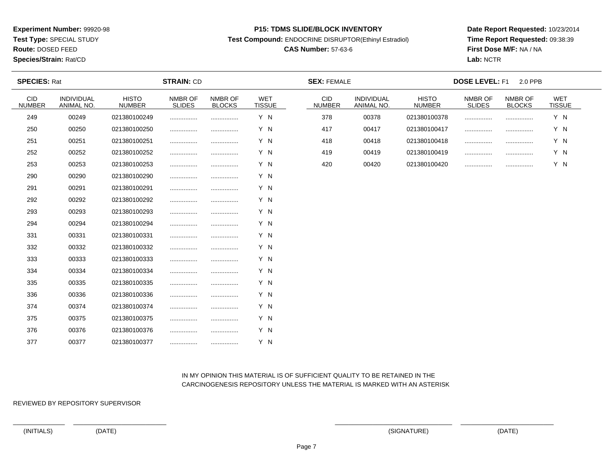**Test Type:** SPECIAL STUDY

**Route:** DOSED FEED

**Species/Strain:** Rat/CD

#### **P15: TDMS SLIDE/BLOCK INVENTORY**

**Test Compound:** ENDOCRINE DISRUPTOR(Ethinyl Estradiol)

## **CAS Number:** 57-63-6

**Date Report Requested:** 10/23/2014**Time Report Requested:** 09:38:39**First Dose M/F:** NA / NA**Lab:** NCTR

| <b>SPECIES: Rat</b>         |                          |                               | <b>STRAIN: CD</b>        |                          |                             | <b>SEX: FEMALE</b>          |                          |                               | <b>DOSE LEVEL: F1</b>    | 2.0 PPB                  |                             |  |
|-----------------------------|--------------------------|-------------------------------|--------------------------|--------------------------|-----------------------------|-----------------------------|--------------------------|-------------------------------|--------------------------|--------------------------|-----------------------------|--|
| <b>CID</b><br><b>NUMBER</b> | INDIVIDUAL<br>ANIMAL NO. | <b>HISTO</b><br><b>NUMBER</b> | NMBR OF<br><b>SLIDES</b> | NMBR OF<br><b>BLOCKS</b> | <b>WET</b><br><b>TISSUE</b> | <b>CID</b><br><b>NUMBER</b> | INDIVIDUAL<br>ANIMAL NO. | <b>HISTO</b><br><b>NUMBER</b> | NMBR OF<br><b>SLIDES</b> | NMBR OF<br><b>BLOCKS</b> | <b>WET</b><br><b>TISSUE</b> |  |
| 249                         | 00249                    | 021380100249                  |                          |                          | Y N                         | 378                         | 00378                    | 021380100378                  | .                        |                          | Y N                         |  |
| 250                         | 00250                    | 021380100250                  |                          |                          | Y N                         | 417                         | 00417                    | 021380100417                  | .                        |                          | Y N                         |  |
| 251                         | 00251                    | 021380100251                  |                          |                          | Y N                         | 418                         | 00418                    | 021380100418                  | .                        |                          | Y N                         |  |
| 252                         | 00252                    | 021380100252                  |                          |                          | Y N                         | 419                         | 00419                    | 021380100419                  |                          |                          | Y N                         |  |
| 253                         | 00253                    | 021380100253                  |                          |                          | Y N                         | 420                         | 00420                    | 021380100420                  |                          |                          | Y N                         |  |
| 290                         | 00290                    | 021380100290                  |                          |                          | Y N                         |                             |                          |                               |                          |                          |                             |  |
| 291                         | 00291                    | 021380100291                  |                          |                          | Y N                         |                             |                          |                               |                          |                          |                             |  |
| 292                         | 00292                    | 021380100292                  |                          |                          | Y N                         |                             |                          |                               |                          |                          |                             |  |
| 293                         | 00293                    | 021380100293                  |                          |                          | Y N                         |                             |                          |                               |                          |                          |                             |  |
| 294                         | 00294                    | 021380100294                  |                          |                          | Y N                         |                             |                          |                               |                          |                          |                             |  |
| 331                         | 00331                    | 021380100331                  |                          |                          | Y N                         |                             |                          |                               |                          |                          |                             |  |
| 332                         | 00332                    | 021380100332                  |                          |                          | Y N                         |                             |                          |                               |                          |                          |                             |  |
| 333                         | 00333                    | 021380100333                  |                          |                          | Y N                         |                             |                          |                               |                          |                          |                             |  |
| 334                         | 00334                    | 021380100334                  |                          |                          | Y N                         |                             |                          |                               |                          |                          |                             |  |
| 335                         | 00335                    | 021380100335                  |                          |                          | Y N                         |                             |                          |                               |                          |                          |                             |  |
| 336                         | 00336                    | 021380100336                  |                          |                          | Y N                         |                             |                          |                               |                          |                          |                             |  |
| 374                         | 00374                    | 021380100374                  |                          |                          | Y N                         |                             |                          |                               |                          |                          |                             |  |
| 375                         | 00375                    | 021380100375                  |                          |                          | Y N                         |                             |                          |                               |                          |                          |                             |  |
| 376                         | 00376                    | 021380100376                  |                          |                          | Y N                         |                             |                          |                               |                          |                          |                             |  |
| 377                         | 00377                    | 021380100377                  |                          |                          | Y N                         |                             |                          |                               |                          |                          |                             |  |

### IN MY OPINION THIS MATERIAL IS OF SUFFICIENT QUALITY TO BE RETAINED IN THECARCINOGENESIS REPOSITORY UNLESS THE MATERIAL IS MARKED WITH AN ASTERISK

REVIEWED BY REPOSITORY SUPERVISOR

(INITIALS) (DATE) (SIGNATURE) (DATE)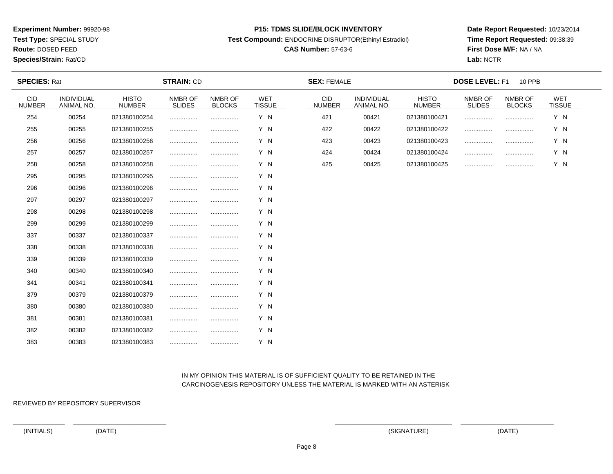**Test Type:** SPECIAL STUDY

**Route:** DOSED FEED

#### **Species/Strain:** Rat/CD

#### **P15: TDMS SLIDE/BLOCK INVENTORY**

**Test Compound:** ENDOCRINE DISRUPTOR(Ethinyl Estradiol)

## **CAS Number:** 57-63-6

**Date Report Requested:** 10/23/2014**Time Report Requested:** 09:38:39**First Dose M/F:** NA / NA**Lab:** NCTR

| <b>SPECIES: Rat</b>         |                                 |                               | <b>STRAIN: CD</b>        |                          |                      | <b>SEX: FEMALE</b>          |                                 |                               | <b>DOSE LEVEL: F1</b>    | <b>10 PPB</b>            |                             |  |
|-----------------------------|---------------------------------|-------------------------------|--------------------------|--------------------------|----------------------|-----------------------------|---------------------------------|-------------------------------|--------------------------|--------------------------|-----------------------------|--|
| <b>CID</b><br><b>NUMBER</b> | <b>INDIVIDUAL</b><br>ANIMAL NO. | <b>HISTO</b><br><b>NUMBER</b> | NMBR OF<br><b>SLIDES</b> | NMBR OF<br><b>BLOCKS</b> | WET<br><b>TISSUE</b> | <b>CID</b><br><b>NUMBER</b> | <b>INDIVIDUAL</b><br>ANIMAL NO. | <b>HISTO</b><br><b>NUMBER</b> | NMBR OF<br><b>SLIDES</b> | NMBR OF<br><b>BLOCKS</b> | <b>WET</b><br><b>TISSUE</b> |  |
| 254                         | 00254                           | 021380100254                  |                          |                          | Y N                  | 421                         | 00421                           | 021380100421                  |                          |                          | Y N                         |  |
| 255                         | 00255                           | 021380100255                  |                          | .                        | Y N                  | 422                         | 00422                           | 021380100422                  |                          |                          | Y N                         |  |
| 256                         | 00256                           | 021380100256                  |                          |                          | Y N                  | 423                         | 00423                           | 021380100423                  | .                        |                          | Y N                         |  |
| 257                         | 00257                           | 021380100257                  |                          |                          | Y N                  | 424                         | 00424                           | 021380100424                  |                          |                          | Y N                         |  |
| 258                         | 00258                           | 021380100258                  |                          |                          | Y N                  | 425                         | 00425                           | 021380100425                  |                          |                          | Y N                         |  |
| 295                         | 00295                           | 021380100295                  |                          |                          | Y N                  |                             |                                 |                               |                          |                          |                             |  |
| 296                         | 00296                           | 021380100296                  |                          |                          | Y N                  |                             |                                 |                               |                          |                          |                             |  |
| 297                         | 00297                           | 021380100297                  |                          |                          | Y N                  |                             |                                 |                               |                          |                          |                             |  |
| 298                         | 00298                           | 021380100298                  |                          |                          | Y N                  |                             |                                 |                               |                          |                          |                             |  |
| 299                         | 00299                           | 021380100299                  |                          |                          | Y N                  |                             |                                 |                               |                          |                          |                             |  |
| 337                         | 00337                           | 021380100337                  |                          | .                        | Y N                  |                             |                                 |                               |                          |                          |                             |  |
| 338                         | 00338                           | 021380100338                  |                          | .                        | Y N                  |                             |                                 |                               |                          |                          |                             |  |
| 339                         | 00339                           | 021380100339                  |                          |                          | Y N                  |                             |                                 |                               |                          |                          |                             |  |
| 340                         | 00340                           | 021380100340                  |                          |                          | Y N                  |                             |                                 |                               |                          |                          |                             |  |
| 341                         | 00341                           | 021380100341                  |                          |                          | Y N                  |                             |                                 |                               |                          |                          |                             |  |
| 379                         | 00379                           | 021380100379                  |                          |                          | Y N                  |                             |                                 |                               |                          |                          |                             |  |
| 380                         | 00380                           | 021380100380                  |                          |                          | Y N                  |                             |                                 |                               |                          |                          |                             |  |
| 381                         | 00381                           | 021380100381                  |                          |                          | Y N                  |                             |                                 |                               |                          |                          |                             |  |
| 382                         | 00382                           | 021380100382                  |                          |                          | Y N                  |                             |                                 |                               |                          |                          |                             |  |
| 383                         | 00383                           | 021380100383                  |                          |                          | Y N                  |                             |                                 |                               |                          |                          |                             |  |

### IN MY OPINION THIS MATERIAL IS OF SUFFICIENT QUALITY TO BE RETAINED IN THECARCINOGENESIS REPOSITORY UNLESS THE MATERIAL IS MARKED WITH AN ASTERISK

REVIEWED BY REPOSITORY SUPERVISOR